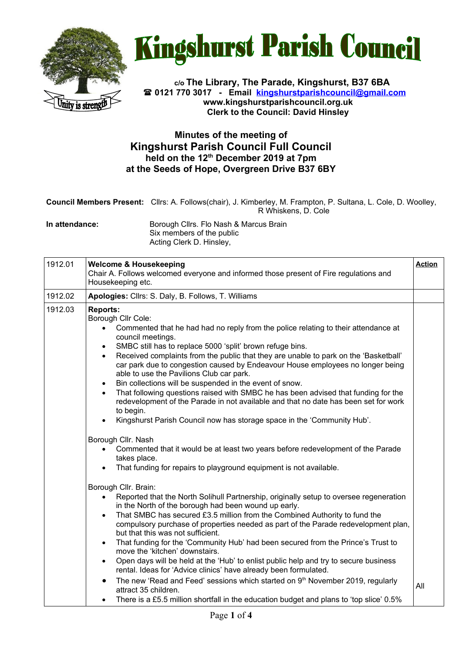



**c/o The Library, The Parade, Kingshurst, B37 6BA 0121 770 3017 - Email [kingshurstparishcouncil@gmail.com](mailto:kingshurstparishcouncil@gmail.com) www.kingshurstparishcouncil.org.uk Clerk to the Council: David Hinsley** 

## **Minutes of the meeting of Kingshurst Parish Council Full Council held on the 12th December 2019 at 7pm at the Seeds of Hope, Overgreen Drive B37 6BY**

| Council Members Present: Clirs: A. Follows(chair), J. Kimberley, M. Frampton, P. Sultana, L. Cole, D. Woolley, |
|----------------------------------------------------------------------------------------------------------------|
| R Whiskens. D. Cole                                                                                            |

**In attendance:** Borough Cllrs. Flo Nash & Marcus Brain Six members of the public Acting Clerk D. Hinsley,

| 1912.01 | <b>Welcome &amp; Housekeeping</b><br>Chair A. Follows welcomed everyone and informed those present of Fire regulations and<br>Housekeeping etc.                                                                                                                                                                                                                                                                                                                                                                                                                                                                                                                                                                                                                                                                                                                                                                                                                                                                                                                | <b>Action</b> |
|---------|----------------------------------------------------------------------------------------------------------------------------------------------------------------------------------------------------------------------------------------------------------------------------------------------------------------------------------------------------------------------------------------------------------------------------------------------------------------------------------------------------------------------------------------------------------------------------------------------------------------------------------------------------------------------------------------------------------------------------------------------------------------------------------------------------------------------------------------------------------------------------------------------------------------------------------------------------------------------------------------------------------------------------------------------------------------|---------------|
| 1912.02 | Apologies: Cllrs: S. Daly, B. Follows, T. Williams                                                                                                                                                                                                                                                                                                                                                                                                                                                                                                                                                                                                                                                                                                                                                                                                                                                                                                                                                                                                             |               |
| 1912.03 | <b>Reports:</b><br>Borough Cllr Cole:<br>Commented that he had had no reply from the police relating to their attendance at<br>council meetings.<br>SMBC still has to replace 5000 'split' brown refuge bins.<br>$\bullet$<br>Received complaints from the public that they are unable to park on the 'Basketball'<br>$\bullet$<br>car park due to congestion caused by Endeavour House employees no longer being<br>able to use the Pavilions Club car park.<br>Bin collections will be suspended in the event of snow.<br>$\bullet$<br>That following questions raised with SMBC he has been advised that funding for the<br>$\bullet$<br>redevelopment of the Parade in not available and that no date has been set for work<br>to begin.<br>Kingshurst Parish Council now has storage space in the 'Community Hub'.<br>$\bullet$<br>Borough Cllr. Nash<br>Commented that it would be at least two years before redevelopment of the Parade<br>$\bullet$<br>takes place.<br>That funding for repairs to playground equipment is not available.<br>$\bullet$ |               |
|         | Borough Cllr. Brain:<br>Reported that the North Solihull Partnership, originally setup to oversee regeneration<br>$\bullet$<br>in the North of the borough had been wound up early.<br>That SMBC has secured £3.5 million from the Combined Authority to fund the<br>$\bullet$<br>compulsory purchase of properties needed as part of the Parade redevelopment plan,<br>but that this was not sufficient.<br>That funding for the 'Community Hub' had been secured from the Prince's Trust to<br>$\bullet$<br>move the 'kitchen' downstairs.<br>Open days will be held at the 'Hub' to enlist public help and try to secure business<br>$\bullet$<br>rental. Ideas for 'Advice clinics' have already been formulated.<br>The new 'Read and Feed' sessions which started on 9 <sup>th</sup> November 2019, regularly<br>$\bullet$<br>attract 35 children.<br>There is a £5.5 million shortfall in the education budget and plans to 'top slice' 0.5%<br>$\bullet$                                                                                               | All           |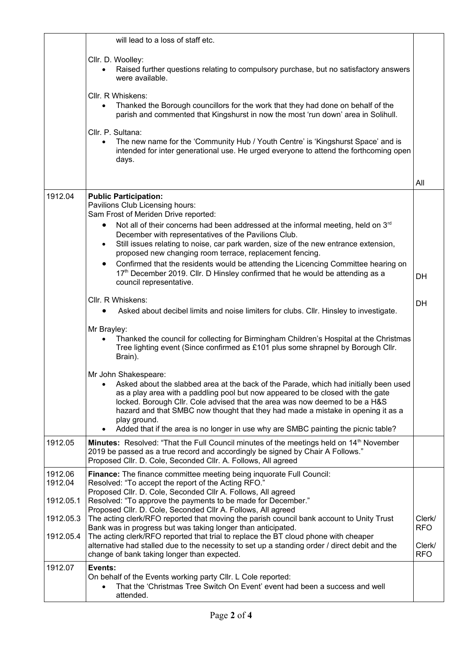|                    | will lead to a loss of staff etc.                                                                                                                                                                                                                                                                                                                                                                                                                                                      |                      |
|--------------------|----------------------------------------------------------------------------------------------------------------------------------------------------------------------------------------------------------------------------------------------------------------------------------------------------------------------------------------------------------------------------------------------------------------------------------------------------------------------------------------|----------------------|
|                    | Cllr. D. Woolley:<br>Raised further questions relating to compulsory purchase, but no satisfactory answers<br>$\bullet$<br>were available.                                                                                                                                                                                                                                                                                                                                             |                      |
|                    | Cllr. R Whiskens:<br>Thanked the Borough councillors for the work that they had done on behalf of the<br>$\bullet$<br>parish and commented that Kingshurst in now the most 'run down' area in Solihull.                                                                                                                                                                                                                                                                                |                      |
|                    | Cllr. P. Sultana:<br>The new name for the 'Community Hub / Youth Centre' is 'Kingshurst Space' and is<br>$\bullet$<br>intended for inter generational use. He urged everyone to attend the forthcoming open<br>days.                                                                                                                                                                                                                                                                   |                      |
|                    |                                                                                                                                                                                                                                                                                                                                                                                                                                                                                        | All                  |
| 1912.04            | <b>Public Participation:</b><br>Pavilions Club Licensing hours:<br>Sam Frost of Meriden Drive reported:<br>Not all of their concerns had been addressed at the informal meeting, held on $3rd$<br>$\bullet$<br>December with representatives of the Pavilions Club.                                                                                                                                                                                                                    |                      |
|                    | Still issues relating to noise, car park warden, size of the new entrance extension,<br>$\bullet$<br>proposed new changing room terrace, replacement fencing.                                                                                                                                                                                                                                                                                                                          |                      |
|                    | Confirmed that the residents would be attending the Licencing Committee hearing on<br>$\bullet$<br>17 <sup>th</sup> December 2019. Cllr. D Hinsley confirmed that he would be attending as a<br>council representative.                                                                                                                                                                                                                                                                | DH                   |
|                    | Cllr. R Whiskens:<br>Asked about decibel limits and noise limiters for clubs. Cllr. Hinsley to investigate.                                                                                                                                                                                                                                                                                                                                                                            | DH                   |
|                    | Mr Brayley:<br>Thanked the council for collecting for Birmingham Children's Hospital at the Christmas<br>Tree lighting event (Since confirmed as £101 plus some shrapnel by Borough Cllr.<br>Brain).                                                                                                                                                                                                                                                                                   |                      |
|                    | Mr John Shakespeare:<br>Asked about the slabbed area at the back of the Parade, which had initially been used<br>as a play area with a paddling pool but now appeared to be closed with the gate<br>locked. Borough Cllr. Cole advised that the area was now deemed to be a H&S<br>hazard and that SMBC now thought that they had made a mistake in opening it as a<br>play ground.<br>Added that if the area is no longer in use why are SMBC painting the picnic table?<br>$\bullet$ |                      |
| 1912.05            | Minutes: Resolved: "That the Full Council minutes of the meetings held on 14 <sup>th</sup> November<br>2019 be passed as a true record and accordingly be signed by Chair A Follows."<br>Proposed Cllr. D. Cole, Seconded Cllr. A. Follows, All agreed                                                                                                                                                                                                                                 |                      |
| 1912.06<br>1912.04 | Finance: The finance committee meeting being inquorate Full Council:<br>Resolved: "To accept the report of the Acting RFO."<br>Proposed Cllr. D. Cole, Seconded Cllr A. Follows, All agreed                                                                                                                                                                                                                                                                                            |                      |
| 1912.05.1          | Resolved: "To approve the payments to be made for December."<br>Proposed Cllr. D. Cole, Seconded Cllr A. Follows, All agreed                                                                                                                                                                                                                                                                                                                                                           |                      |
| 1912.05.3          | The acting clerk/RFO reported that moving the parish council bank account to Unity Trust<br>Bank was in progress but was taking longer than anticipated.                                                                                                                                                                                                                                                                                                                               | Clerk/<br><b>RFO</b> |
| 1912.05.4          | The acting clerk/RFO reported that trial to replace the BT cloud phone with cheaper<br>alternative had stalled due to the necessity to set up a standing order / direct debit and the<br>change of bank taking longer than expected.                                                                                                                                                                                                                                                   | Clerk/<br><b>RFO</b> |
| 1912.07            | Events:<br>On behalf of the Events working party Cllr. L Cole reported:<br>That the 'Christmas Tree Switch On Event' event had been a success and well<br>attended.                                                                                                                                                                                                                                                                                                                    |                      |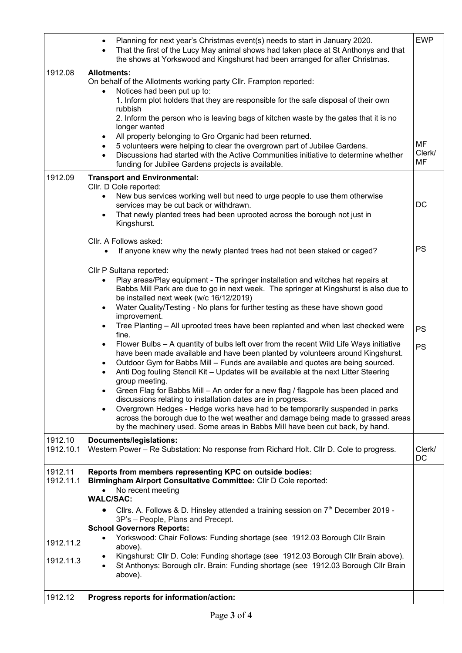|                                                | Planning for next year's Christmas event(s) needs to start in January 2020.<br>$\bullet$<br>That the first of the Lucy May animal shows had taken place at St Anthonys and that<br>$\bullet$<br>the shows at Yorkswood and Kingshurst had been arranged for after Christmas.                                                                                                                                                                                                                                                                                                                                                                                                                                                                                                                                                                                                                                                                                                                                                                                                                                                                                                                                       | <b>EWP</b>         |
|------------------------------------------------|--------------------------------------------------------------------------------------------------------------------------------------------------------------------------------------------------------------------------------------------------------------------------------------------------------------------------------------------------------------------------------------------------------------------------------------------------------------------------------------------------------------------------------------------------------------------------------------------------------------------------------------------------------------------------------------------------------------------------------------------------------------------------------------------------------------------------------------------------------------------------------------------------------------------------------------------------------------------------------------------------------------------------------------------------------------------------------------------------------------------------------------------------------------------------------------------------------------------|--------------------|
| 1912.08                                        | <b>Allotments:</b><br>On behalf of the Allotments working party Cllr. Frampton reported:<br>Notices had been put up to:<br>$\bullet$<br>1. Inform plot holders that they are responsible for the safe disposal of their own<br>rubbish<br>2. Inform the person who is leaving bags of kitchen waste by the gates that it is no<br>longer wanted<br>All property belonging to Gro Organic had been returned.<br>$\bullet$<br>5 volunteers were helping to clear the overgrown part of Jubilee Gardens.<br>$\bullet$<br>Discussions had started with the Active Communities initiative to determine whether<br>$\bullet$<br>funding for Jubilee Gardens projects is available.                                                                                                                                                                                                                                                                                                                                                                                                                                                                                                                                       | MF<br>Clerk/<br>MF |
| 1912.09                                        | <b>Transport and Environmental:</b><br>Cllr. D Cole reported:<br>New bus services working well but need to urge people to use them otherwise<br>$\bullet$<br>services may be cut back or withdrawn.<br>That newly planted trees had been uprooted across the borough not just in<br>$\bullet$<br>Kingshurst.                                                                                                                                                                                                                                                                                                                                                                                                                                                                                                                                                                                                                                                                                                                                                                                                                                                                                                       | DC                 |
|                                                | Cllr. A Follows asked:<br>If anyone knew why the newly planted trees had not been staked or caged?                                                                                                                                                                                                                                                                                                                                                                                                                                                                                                                                                                                                                                                                                                                                                                                                                                                                                                                                                                                                                                                                                                                 | <b>PS</b>          |
|                                                | Cllr P Sultana reported:<br>Play areas/Play equipment - The springer installation and witches hat repairs at<br>$\bullet$<br>Babbs Mill Park are due to go in next week. The springer at Kingshurst is also due to<br>be installed next week (w/c 16/12/2019)<br>Water Quality/Testing - No plans for further testing as these have shown good<br>$\bullet$<br>improvement.<br>Tree Planting - All uprooted trees have been replanted and when last checked were<br>$\bullet$<br>fine.<br>Flower Bulbs - A quantity of bulbs left over from the recent Wild Life Ways initiative<br>have been made available and have been planted by volunteers around Kingshurst.<br>Outdoor Gym for Babbs Mill - Funds are available and quotes are being sourced.<br>$\bullet$<br>Anti Dog fouling Stencil Kit - Updates will be available at the next Litter Steering<br>group meeting.<br>Green Flag for Babbs Mill - An order for a new flag / flagpole has been placed and<br>discussions relating to installation dates are in progress.<br>Overgrown Hedges - Hedge works have had to be temporarily suspended in parks<br>$\bullet$<br>across the borough due to the wet weather and damage being made to grassed areas | <b>PS</b><br>PS    |
| 1912.10<br>1912.10.1                           | by the machinery used. Some areas in Babbs Mill have been cut back, by hand.<br>Documents/legislations:<br>Western Power - Re Substation: No response from Richard Holt. Cllr D. Cole to progress.                                                                                                                                                                                                                                                                                                                                                                                                                                                                                                                                                                                                                                                                                                                                                                                                                                                                                                                                                                                                                 | Clerk/<br>DC       |
| 1912.11<br>1912.11.1<br>1912.11.2<br>1912.11.3 | Reports from members representing KPC on outside bodies:<br>Birmingham Airport Consultative Committee: Cllr D Cole reported:<br>No recent meeting<br>$\bullet$<br><b>WALC/SAC:</b><br>Cllrs. A. Follows & D. Hinsley attended a training session on 7 <sup>th</sup> December 2019 -<br>$\bullet$<br>3P's - People, Plans and Precept.<br><b>School Governors Reports:</b><br>Yorkswood: Chair Follows: Funding shortage (see 1912.03 Borough Cllr Brain<br>$\bullet$<br>above).<br>Kingshurst: Cllr D. Cole: Funding shortage (see 1912.03 Borough Cllr Brain above).<br>$\bullet$<br>St Anthonys: Borough cllr. Brain: Funding shortage (see 1912.03 Borough Cllr Brain<br>$\bullet$<br>above).                                                                                                                                                                                                                                                                                                                                                                                                                                                                                                                   |                    |
| 1912.12                                        | Progress reports for information/action:                                                                                                                                                                                                                                                                                                                                                                                                                                                                                                                                                                                                                                                                                                                                                                                                                                                                                                                                                                                                                                                                                                                                                                           |                    |